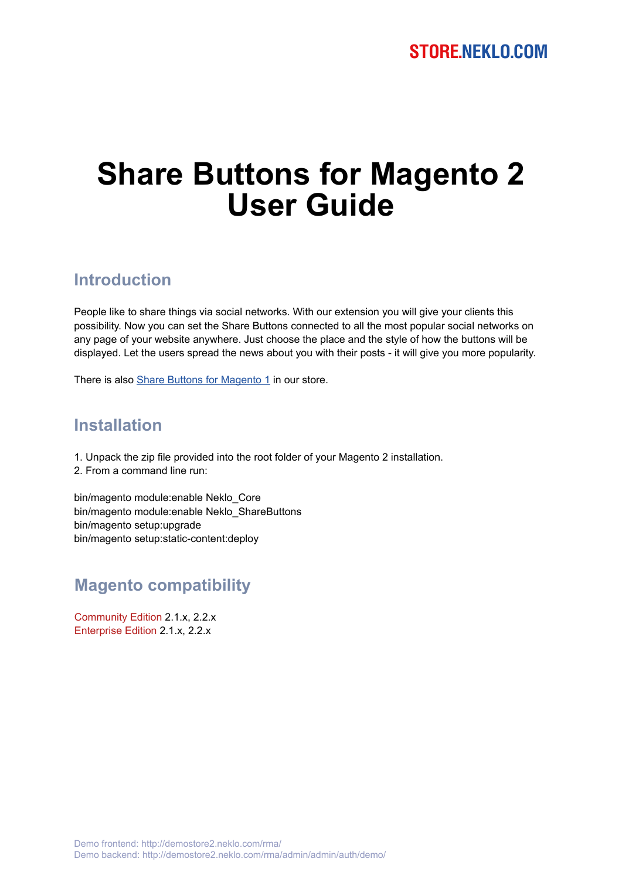# **Share Buttons for Magento 2 User Guide**

#### **Introduction**

People like to share things via social networks. With our extension you will give your clients this possibility. Now you can set the Share Buttons connected to all the most popular social networks on any page of your website anywhere. Just choose the place and the style of how the buttons will be displayed. Let the users spread the news about you with their posts - it will give you more popularity.

There is also [Share Buttons for Magento 1](https://store.neklo.com/share-buttons-widget-extension-for-magento.html) in our store.

#### **Installation**

- 1. Unpack the zip file provided into the root folder of your Magento 2 installation.
- 2. From a command line run:

bin/magento module:enable Neklo\_Core bin/magento module:enable Neklo\_ShareButtons bin/magento setup:upgrade bin/magento setup:static-content:deploy

#### **Magento compatibility**

Community Edition 2.1.x, 2.2.x Enterprise Edition 2.1.x, 2.2.x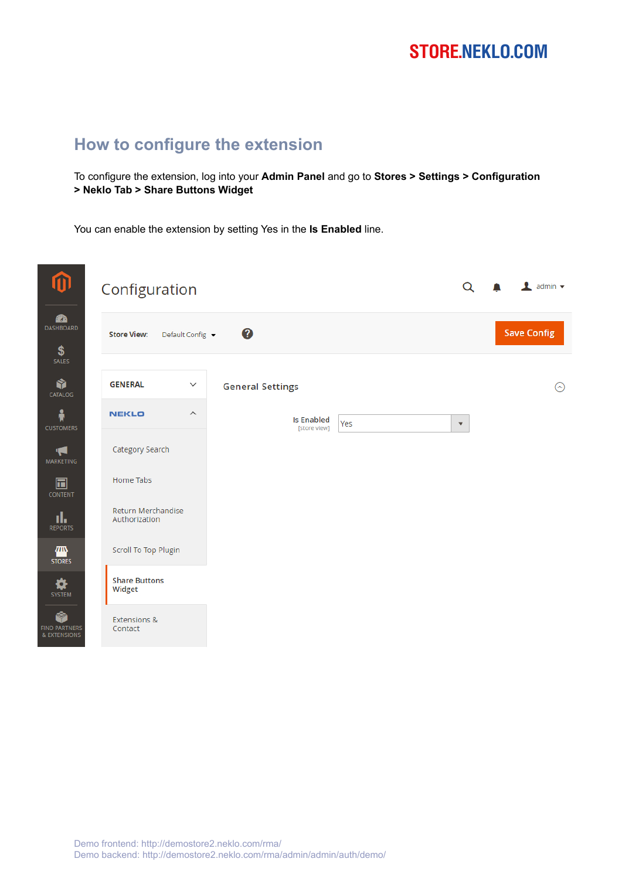## **STORE.NEKLO.COM**

#### **How to configure the extension**

To configure the extension, log into your **Admin Panel** and go to **Stores > Settings > Configuration > Neklo Tab > Share Buttons Widget**

You can enable the extension by setting Yes in the **Is Enabled** line.

| ⑪                                         | Configuration                           |                                                          | $\mathbf 1$ admin $\mathbf -$ |
|-------------------------------------------|-----------------------------------------|----------------------------------------------------------|-------------------------------|
| $\mathbf{a}$<br>DASHBOARD<br>\$           | <b>Store View:</b><br>Default Config ▼  | 0                                                        | <b>Save Config</b>            |
| SALES<br>Ŵ<br>CATALOG                     | <b>GENERAL</b><br>$\checkmark$          | <b>General Settings</b>                                  | ⊙                             |
| Å<br><b>CUSTOMERS</b>                     | <b>NEKLO</b><br>$\widehat{\phantom{a}}$ | <b>Is Enabled</b><br>Yes<br>$\mathbf{v}$<br>[store view] |                               |
| T.<br>MARKETING                           | Category Search                         |                                                          |                               |
| $\blacksquare$<br><b>CONTENT</b>          | Home Tabs                               |                                                          |                               |
| ıl.<br><b>REPORTS</b>                     | Return Merchandise<br>Authorization     |                                                          |                               |
| 伵<br><b>STORES</b>                        | Scroll To Top Plugin                    |                                                          |                               |
| ⋫<br>SYSTEM                               | <b>Share Buttons</b><br>Widget          |                                                          |                               |
| Ŵ<br><b>FIND PARTNERS</b><br>& EXTENSIONS | <b>Extensions &amp;</b><br>Contact      |                                                          |                               |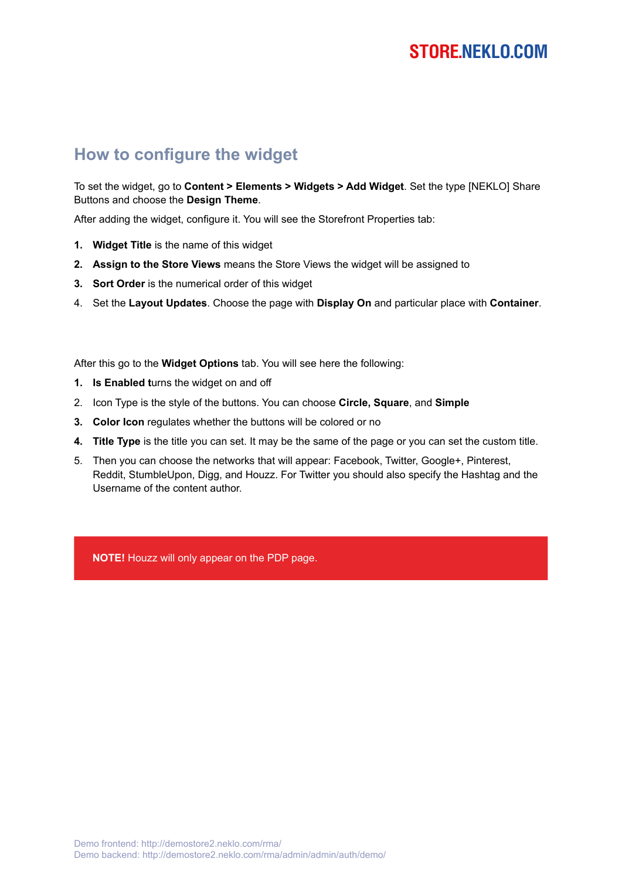#### **How to configure the widget**

To set the widget, go to **Content > Elements > Widgets > Add Widget**. Set the type [NEKLO] Share Buttons and choose the **Design Theme**.

After adding the widget, configure it. You will see the Storefront Properties tab:

- **1. Widget Title** is the name of this widget
- **2. Assign to the Store Views** means the Store Views the widget will be assigned to
- **3. Sort Order** is the numerical order of this widget
- 4. Set the **Layout Updates**. Choose the page with **Display On** and particular place with **Container**.

After this go to the **Widget Options** tab. You will see here the following:

- **1. Is Enabled t**urns the widget on and off
- 2. Icon Type is the style of the buttons. You can choose **Circle, Square**, and **Simple**
- **3. Color Icon** regulates whether the buttons will be colored or no
- **4. Title Type** is the title you can set. It may be the same of the page or you can set the custom title.
- 5. Then you can choose the networks that will appear: Facebook, Twitter, Google+, Pinterest, Reddit, StumbleUpon, Digg, and Houzz. For Twitter you should also specify the Hashtag and the Username of the content author.

**NOTE!** Houzz will only appear on the PDP page.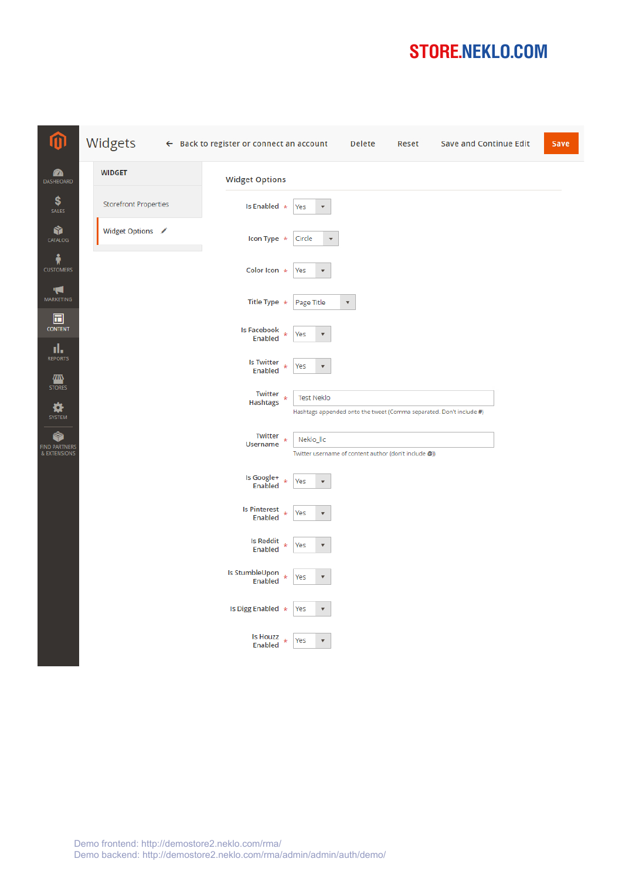# **STORE.NEKLO.COM**

| ⑪                                         | Widgets                      | $\leftarrow$ Back to register or connect an account                                    | Delete                                                | Reset | <b>Save and Continue Edit</b>                                       | Save |
|-------------------------------------------|------------------------------|----------------------------------------------------------------------------------------|-------------------------------------------------------|-------|---------------------------------------------------------------------|------|
| ☎<br>DASHBOARD                            | <b>WIDGET</b>                | <b>Widget Options</b>                                                                  |                                                       |       |                                                                     |      |
| \$<br>SALES                               | <b>Storefront Properties</b> | Is Enabled *<br>Yes<br>$\overline{\mathbf v}$                                          |                                                       |       |                                                                     |      |
| ۱<br>CATALOG                              | Widget Options /             | Icon Type *<br>Circle<br>$\overline{\mathbf v}$                                        |                                                       |       |                                                                     |      |
| Å<br><b>CUSTOMERS</b>                     |                              | Color Icon *<br>Yes<br>$\boldsymbol{\mathrm{v}}$                                       |                                                       |       |                                                                     |      |
| Ч<br>MARKETING                            |                              | Title Type $*$<br>Page Title                                                           | $\boldsymbol{\mathrm{v}}$                             |       |                                                                     |      |
| 同<br><b>CONTENT</b><br>ıl,                |                              | Is Facebook<br>Yes<br>$\star$<br>$\overline{\mathbf{v}}$<br>Enabled                    |                                                       |       |                                                                     |      |
| <b>REPORTS</b><br>▥                       |                              | <b>Is Twitter</b><br>Yes<br>$\star$<br>$\boldsymbol{\mathrm{v}}$<br><b>Enabled</b>     |                                                       |       |                                                                     |      |
| <b>STORES</b><br>₩<br>SYSTEM              |                              | Twitter<br><b>Test Neklo</b><br>$\star$<br><b>Hashtags</b>                             |                                                       |       | Hashtags appended onto the tweet (Comma separated. Don't include #) |      |
| Ŷ<br><b>FIND PARTNERS</b><br>& EXTENSIONS |                              | Twitter<br>Neklo_llc<br><b>Username</b>                                                | Twitter username of content author (don't include @)) |       |                                                                     |      |
|                                           |                              | Is Google+<br>$\frac{1}{N}$<br>Yes<br>$\overline{\mathbf v}$<br>Enabled                |                                                       |       |                                                                     |      |
|                                           |                              | <b>Is Pinterest</b><br>Yes<br>ú,<br>$\overline{\mathbf v}$<br><b>Enabled</b>           |                                                       |       |                                                                     |      |
|                                           |                              | <b>Is Reddit</b><br>÷,<br>Yes<br>$\overline{\mathbf{v}}$<br>Enabled                    |                                                       |       |                                                                     |      |
|                                           |                              | Is StumbleUpon<br>$\star$<br>Yes<br>$\overline{\mathbf{v}}$<br>Enabled                 |                                                       |       |                                                                     |      |
|                                           |                              | Is Digg Enabled *<br>Yes<br>$\boldsymbol{\mathrm{v}}$                                  |                                                       |       |                                                                     |      |
|                                           |                              | <b>Is Houzz</b><br>$\frac{1}{N}$<br>Yes<br>$\boldsymbol{\mathrm{v}}$<br><b>Enabled</b> |                                                       |       |                                                                     |      |